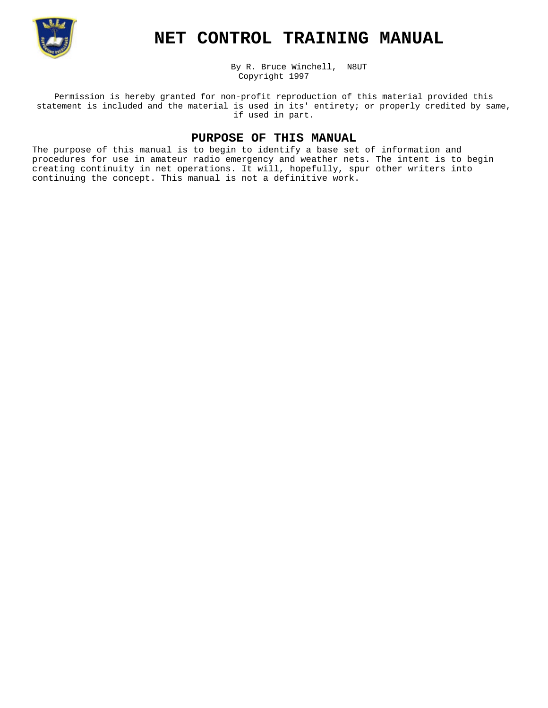

# **NET CONTROL TRAINING MANUAL**

By R. Bruce Winchell, N8UT Copyright 1997

Permission is hereby granted for non-profit reproduction of this material provided this statement is included and the material is used in its' entirety; or properly credited by same, if used in part.

## **PURPOSE OF THIS MANUAL**

The purpose of this manual is to begin to identify a base set of information and procedures for use in amateur radio emergency and weather nets. The intent is to begin creating continuity in net operations. It will, hopefully, spur other writers into continuing the concept. This manual is not a definitive work.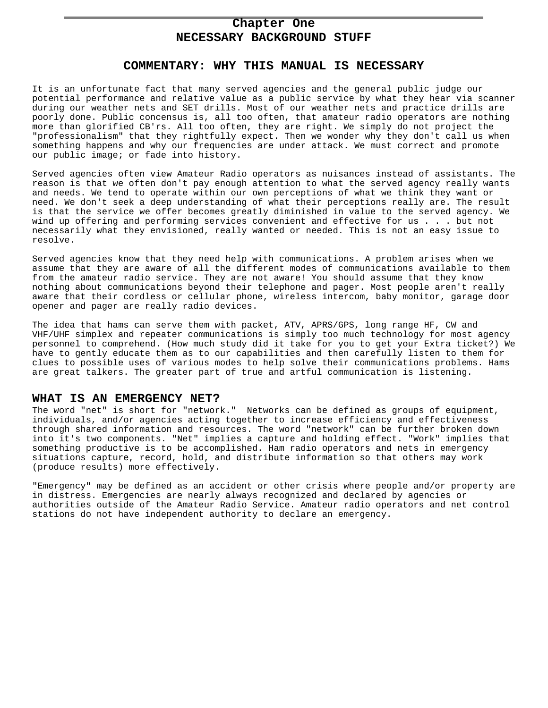## **Chapter One NECESSARY BACKGROUND STUFF**

## **COMMENTARY: WHY THIS MANUAL IS NECESSARY**

It is an unfortunate fact that many served agencies and the general public judge our potential performance and relative value as a public service by what they hear via scanner during our weather nets and SET drills. Most of our weather nets and practice drills are poorly done. Public concensus is, all too often, that amateur radio operators are nothing more than glorified CB'rs. All too often, they are right. We simply do not project the "professionalism" that they rightfully expect. Then we wonder why they don't call us when something happens and why our frequencies are under attack. We must correct and promote our public image; or fade into history.

Served agencies often view Amateur Radio operators as nuisances instead of assistants. The reason is that we often don't pay enough attention to what the served agency really wants and needs. We tend to operate within our own perceptions of what we think they want or need. We don't seek a deep understanding of what their perceptions really are. The result is that the service we offer becomes greatly diminished in value to the served agency. We wind up offering and performing services convenient and effective for us . . . but not necessarily what they envisioned, really wanted or needed. This is not an easy issue to resolve.

Served agencies know that they need help with communications. A problem arises when we assume that they are aware of all the different modes of communications available to them from the amateur radio service. They are not aware! You should assume that they know nothing about communications beyond their telephone and pager. Most people aren't really aware that their cordless or cellular phone, wireless intercom, baby monitor, garage door opener and pager are really radio devices.

The idea that hams can serve them with packet, ATV, APRS/GPS, long range HF, CW and VHF/UHF simplex and repeater communications is simply too much technology for most agency personnel to comprehend. (How much study did it take for you to get your Extra ticket?) We have to gently educate them as to our capabilities and then carefully listen to them for clues to possible uses of various modes to help solve their communications problems. Hams are great talkers. The greater part of true and artful communication is listening.

#### **WHAT IS AN EMERGENCY NET?**

The word "net" is short for "network." Networks can be defined as groups of equipment, individuals, and/or agencies acting together to increase efficiency and effectiveness through shared information and resources. The word "network" can be further broken down into it's two components. "Net" implies a capture and holding effect. "Work" implies that something productive is to be accomplished. Ham radio operators and nets in emergency situations capture, record, hold, and distribute information so that others may work (produce results) more effectively.

"Emergency" may be defined as an accident or other crisis where people and/or property are in distress. Emergencies are nearly always recognized and declared by agencies or authorities outside of the Amateur Radio Service. Amateur radio operators and net control stations do not have independent authority to declare an emergency.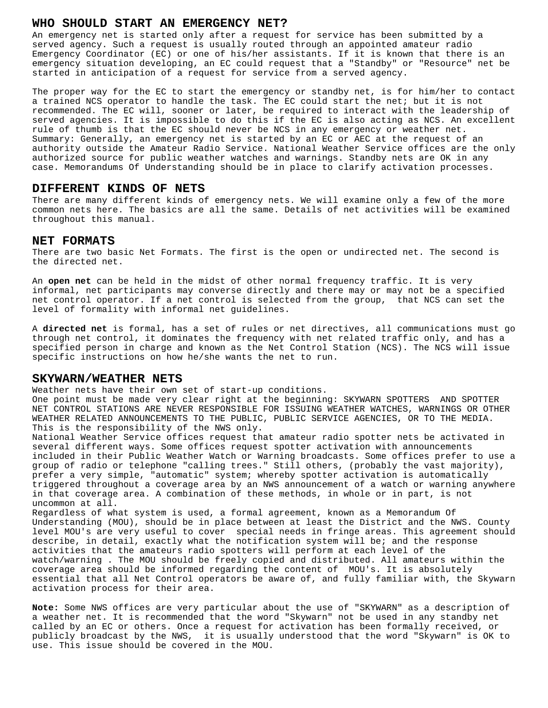## **WHO SHOULD START AN EMERGENCY NET?**

An emergency net is started only after a request for service has been submitted by a served agency. Such a request is usually routed through an appointed amateur radio Emergency Coordinator (EC) or one of his/her assistants. If it is known that there is an emergency situation developing, an EC could request that a "Standby" or "Resource" net be started in anticipation of a request for service from a served agency.

The proper way for the EC to start the emergency or standby net, is for him/her to contact a trained NCS operator to handle the task. The EC could start the net; but it is not recommended. The EC will, sooner or later, be required to interact with the leadership of served agencies. It is impossible to do this if the EC is also acting as NCS. An excellent rule of thumb is that the EC should never be NCS in any emergency or weather net. Summary: Generally, an emergency net is started by an EC or AEC at the request of an authority outside the Amateur Radio Service. National Weather Service offices are the only authorized source for public weather watches and warnings. Standby nets are OK in any case. Memorandums Of Understanding should be in place to clarify activation processes.

#### **DIFFERENT KINDS OF NETS**

There are many different kinds of emergency nets. We will examine only a few of the more common nets here. The basics are all the same. Details of net activities will be examined throughout this manual.

#### **NET FORMATS**

There are two basic Net Formats. The first is the open or undirected net. The second is the directed net.

An **open net** can be held in the midst of other normal frequency traffic. It is very informal, net participants may converse directly and there may or may not be a specified net control operator. If a net control is selected from the group, that NCS can set the level of formality with informal net guidelines.

A **directed net** is formal, has a set of rules or net directives, all communications must go through net control, it dominates the frequency with net related traffic only, and has a specified person in charge and known as the Net Control Station (NCS). The NCS will issue specific instructions on how he/she wants the net to run.

#### **SKYWARN/WEATHER NETS**

Weather nets have their own set of start-up conditions.

One point must be made very clear right at the beginning: SKYWARN SPOTTERS AND SPOTTER NET CONTROL STATIONS ARE NEVER RESPONSIBLE FOR ISSUING WEATHER WATCHES, WARNINGS OR OTHER WEATHER RELATED ANNOUNCEMENTS TO THE PUBLIC, PUBLIC SERVICE AGENCIES, OR TO THE MEDIA. This is the responsibility of the NWS only.

National Weather Service offices request that amateur radio spotter nets be activated in several different ways. Some offices request spotter activation with announcements included in their Public Weather Watch or Warning broadcasts. Some offices prefer to use a group of radio or telephone "calling trees." Still others, (probably the vast majority), prefer a very simple, "automatic" system; whereby spotter activation is automatically triggered throughout a coverage area by an NWS announcement of a watch or warning anywhere in that coverage area. A combination of these methods, in whole or in part, is not uncommon at all.

Regardless of what system is used, a formal agreement, known as a Memorandum Of Understanding (MOU), should be in place between at least the District and the NWS. County level MOU's are very useful to cover special needs in fringe areas. This agreement should describe, in detail, exactly what the notification system will be; and the response activities that the amateurs radio spotters will perform at each level of the watch/warning . The MOU should be freely copied and distributed. All amateurs within the coverage area should be informed regarding the content of MOU's. It is absolutely essential that all Net Control operators be aware of, and fully familiar with, the Skywarn activation process for their area.

**Note:** Some NWS offices are very particular about the use of "SKYWARN" as a description of a weather net. It is recommended that the word "Skywarn" not be used in any standby net called by an EC or others. Once a request for activation has been formally received, or publicly broadcast by the NWS, it is usually understood that the word "Skywarn" is OK to use. This issue should be covered in the MOU.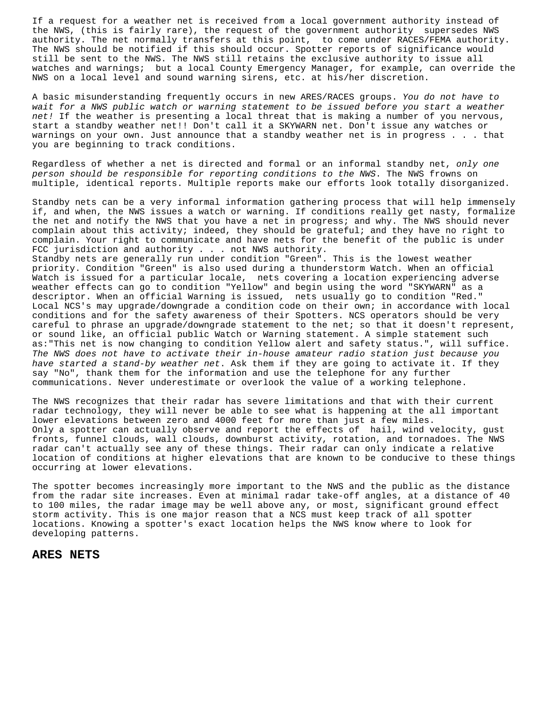If a request for a weather net is received from a local government authority instead of the NWS, (this is fairly rare), the request of the government authority supersedes NWS authority. The net normally transfers at this point, to come under RACES/FEMA authority. The NWS should be notified if this should occur. Spotter reports of significance would still be sent to the NWS. The NWS still retains the exclusive authority to issue all watches and warnings; but a local County Emergency Manager, for example, can override the NWS on a local level and sound warning sirens, etc. at his/her discretion.

A basic misunderstanding frequently occurs in new ARES/RACES groups. *You do not have to wait for a NWS public watch or warning statement to be issued before you start a weather net!* If the weather is presenting a local threat that is making a number of you nervous, start a standby weather net!! Don't call it a SKYWARN net. Don't issue any watches or warnings on your own. Just announce that a standby weather net is in progress . . . that you are beginning to track conditions.

Regardless of whether a net is directed and formal or an informal standby net, *only one person should be responsible for reporting conditions to the NWS*. The NWS frowns on multiple, identical reports. Multiple reports make our efforts look totally disorganized.

Standby nets can be a very informal information gathering process that will help immensely if, and when, the NWS issues a watch or warning. If conditions really get nasty, formalize the net and notify the NWS that you have a net in progress; and why. The NWS should never complain about this activity; indeed, they should be grateful; and they have no right to complain. Your right to communicate and have nets for the benefit of the public is under FCC jurisdiction and authority . . . not NWS authority. Standby nets are generally run under condition "Green". This is the lowest weather priority. Condition "Green" is also used during a thunderstorm Watch. When an official Watch is issued for a particular locale, nets covering a location experiencing adverse weather effects can go to condition "Yellow" and begin using the word "SKYWARN" as a descriptor. When an official Warning is issued, nets usually go to condition "Red." Local NCS's may upgrade/downgrade a condition code on their own; in accordance with local conditions and for the safety awareness of their Spotters. NCS operators should be very careful to phrase an upgrade/downgrade statement to the net; so that it doesn't represent, or sound like, an official public Watch or Warning statement. A simple statement such as:"This net is now changing to condition Yellow alert and safety status.", will suffice. *The NWS does not have to activate their in-house amateur radio station just because you have started a stand-by weather net*. Ask them if they are going to activate it. If they say "No", thank them for the information and use the telephone for any further communications. Never underestimate or overlook the value of a working telephone.

The NWS recognizes that their radar has severe limitations and that with their current radar technology, they will never be able to see what is happening at the all important lower elevations between zero and 4000 feet for more than just a few miles. Only a spotter can actually observe and report the effects of hail, wind velocity, gust fronts, funnel clouds, wall clouds, downburst activity, rotation, and tornadoes. The NWS radar can't actually see any of these things. Their radar can only indicate a relative location of conditions at higher elevations that are known to be conducive to these things occurring at lower elevations.

The spotter becomes increasingly more important to the NWS and the public as the distance from the radar site increases. Even at minimal radar take-off angles, at a distance of 40 to 100 miles, the radar image may be well above any, or most, significant ground effect storm activity. This is one major reason that a NCS must keep track of all spotter locations. Knowing a spotter's exact location helps the NWS know where to look for developing patterns.

## **ARES NETS**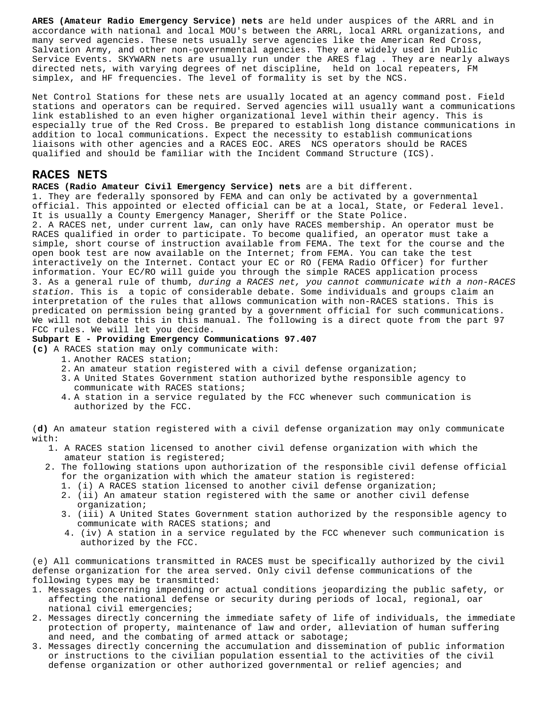**ARES (Amateur Radio Emergency Service) nets** are held under auspices of the ARRL and in accordance with national and local MOU's between the ARRL, local ARRL organizations, and many served agencies. These nets usually serve agencies like the American Red Cross, Salvation Army, and other non-governmental agencies. They are widely used in Public Service Events. SKYWARN nets are usually run under the ARES flag . They are nearly always directed nets, with varying degrees of net discipline, held on local repeaters, FM simplex, and HF frequencies. The level of formality is set by the NCS.

Net Control Stations for these nets are usually located at an agency command post. Field stations and operators can be required. Served agencies will usually want a communications link established to an even higher organizational level within their agency. This is especially true of the Red Cross. Be prepared to establish long distance communications in addition to local communications. Expect the necessity to establish communications liaisons with other agencies and a RACES EOC. ARES NCS operators should be RACES qualified and should be familiar with the Incident Command Structure (ICS).

#### **RACES NETS**

**RACES (Radio Amateur Civil Emergency Service) nets** are a bit different.

1. They are federally sponsored by FEMA and can only be activated by a governmental official. This appointed or elected official can be at a local, State, or Federal level. It is usually a County Emergency Manager, Sheriff or the State Police. 2. A RACES net, under current law, can only have RACES membership. An operator must be RACES qualified in order to participate. To become qualified, an operator must take a simple, short course of instruction available from FEMA. The text for the course and the open book test are now available on the Internet; from FEMA. You can take the test interactively on the Internet. Contact your EC or RO (FEMA Radio Officer) for further information. Your EC/RO will guide you through the simple RACES application process 3. As a general rule of thumb, *during a RACES net, you cannot communicate with a non-RACES station.* This is a topic of considerable debate. Some individuals and groups claim an interpretation of the rules that allows communication with non-RACES stations. This is predicated on permission being granted by a government official for such communications. We will not debate this in this manual. The following is a direct quote from the part 97 FCC rules. We will let you decide.

#### **Subpart E - Providing Emergency Communications 97.407**

**(c)** A RACES station may only communicate with:

- 1. Another RACES station;
- 2. An amateur station registered with a civil defense organization;
- 3. A United States Government station authorized bythe responsible agency to communicate with RACES stations;
- 4. A station in a service regulated by the FCC whenever such communication is authorized by the FCC.

(**d)** An amateur station registered with a civil defense organization may only communicate with:

- 1. A RACES station licensed to another civil defense organization with which the amateur station is registered;
- 2. The following stations upon authorization of the responsible civil defense official for the organization with which the amateur station is registered:
	- 1. (i) A RACES station licensed to another civil defense organization;
	- 2. (ii) An amateur station registered with the same or another civil defense organization;
	- 3. (iii) A United States Government station authorized by the responsible agency to communicate with RACES stations; and
	- 4. (iv) A station in a service regulated by the FCC whenever such communication is authorized by the FCC.

(e) All communications transmitted in RACES must be specifically authorized by the civil defense organization for the area served. Only civil defense communications of the following types may be transmitted:

- 1. Messages concerning impending or actual conditions jeopardizing the public safety, or affecting the national defense or security during periods of local, regional, oar national civil emergencies;
- 2. Messages directly concerning the immediate safety of life of individuals, the immediate protection of property, maintenance of law and order, alleviation of human suffering and need, and the combating of armed attack or sabotage;
- 3. Messages directly concerning the accumulation and dissemination of public information or instructions to the civilian population essential to the activities of the civil defense organization or other authorized governmental or relief agencies; and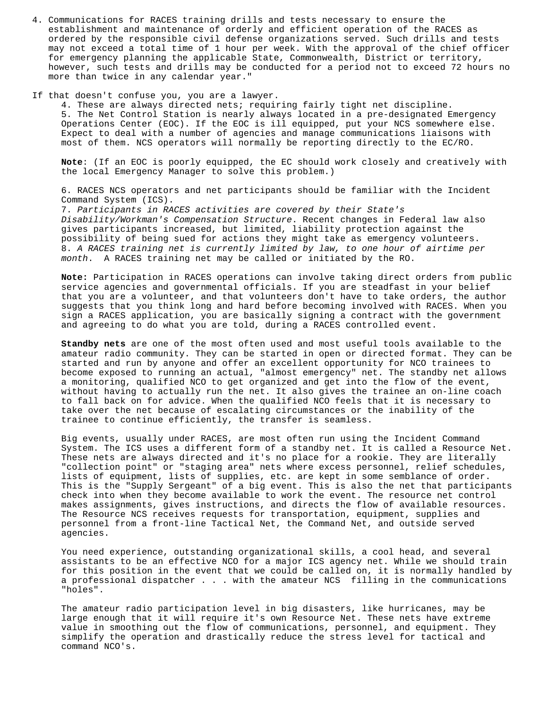4. Communications for RACES training drills and tests necessary to ensure the establishment and maintenance of orderly and efficient operation of the RACES as ordered by the responsible civil defense organizations served. Such drills and tests may not exceed a total time of 1 hour per week. With the approval of the chief officer for emergency planning the applicable State, Commonwealth, District or territory, however, such tests and drills may be conducted for a period not to exceed 72 hours no more than twice in any calendar year."

#### If that doesn't confuse you, you are a lawyer.

4. These are always directed nets; requiring fairly tight net discipline. 5. The Net Control Station is nearly always located in a pre-designated Emergency Operations Center (EOC). If the EOC is ill equipped, put your NCS somewhere else. Expect to deal with a number of agencies and manage communications liaisons with most of them. NCS operators will normally be reporting directly to the EC/RO.

**Note**: (If an EOC is poorly equipped, the EC should work closely and creatively with the local Emergency Manager to solve this problem.)

6. RACES NCS operators and net participants should be familiar with the Incident Command System (ICS).

7. *Participants in RACES activities are covered by their State's Disability/Workman's Compensation Structure*. Recent changes in Federal law also gives participants increased, but limited, liability protection against the possibility of being sued for actions they might take as emergency volunteers. 8. *A RACES training net is currently limited by law, to one hour of airtime per month*. A RACES training net may be called or initiated by the RO.

**Note:** Participation in RACES operations can involve taking direct orders from public service agencies and governmental officials. If you are steadfast in your belief that you are a volunteer, and that volunteers don't have to take orders, the author suggests that you think long and hard before becoming involved with RACES. When you sign a RACES application, you are basically signing a contract with the government and agreeing to do what you are told, during a RACES controlled event.

**Standby nets** are one of the most often used and most useful tools available to the amateur radio community. They can be started in open or directed format. They can be started and run by anyone and offer an excellent opportunity for NCO trainees to become exposed to running an actual, "almost emergency" net. The standby net allows a monitoring, qualified NCO to get organized and get into the flow of the event, without having to actually run the net. It also gives the trainee an on-line coach to fall back on for advice. When the qualified NCO feels that it is necessary to take over the net because of escalating circumstances or the inability of the trainee to continue efficiently, the transfer is seamless.

Big events, usually under RACES, are most often run using the Incident Command System. The ICS uses a different form of a standby net. It is called a Resource Net. These nets are always directed and it's no place for a rookie. They are literally "collection point" or "staging area" nets where excess personnel, relief schedules, lists of equipment, lists of supplies, etc. are kept in some semblance of order. This is the "Supply Sergeant" of a big event. This is also the net that participants check into when they become available to work the event. The resource net control makes assignments, gives instructions, and directs the flow of available resources. The Resource NCS receives requests for transportation, equipment, supplies and personnel from a front-line Tactical Net, the Command Net, and outside served agencies.

You need experience, outstanding organizational skills, a cool head, and several assistants to be an effective NCO for a major ICS agency net. While we should train for this position in the event that we could be called on, it is normally handled by a professional dispatcher . . . with the amateur NCS filling in the communications "holes".

The amateur radio participation level in big disasters, like hurricanes, may be large enough that it will require it's own Resource Net. These nets have extreme value in smoothing out the flow of communications, personnel, and equipment. They simplify the operation and drastically reduce the stress level for tactical and command NCO's.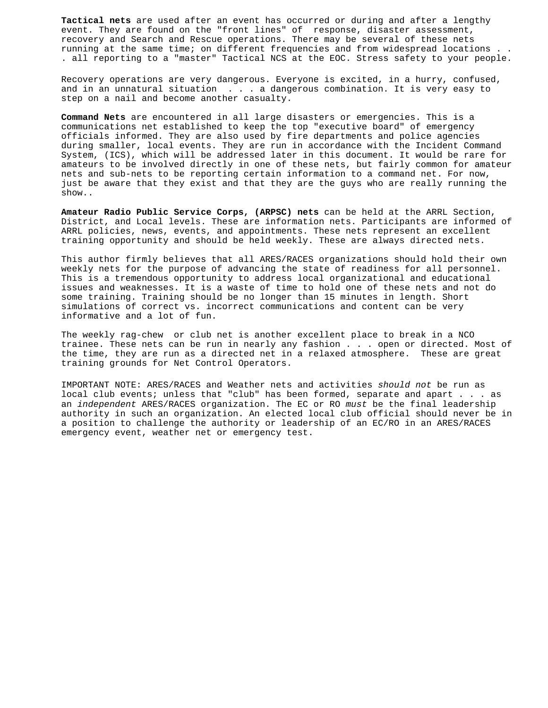**Tactical nets** are used after an event has occurred or during and after a lengthy event. They are found on the "front lines" of response, disaster assessment, recovery and Search and Rescue operations. There may be several of these nets running at the same time; on different frequencies and from widespread locations . . . all reporting to a "master" Tactical NCS at the EOC. Stress safety to your people.

Recovery operations are very dangerous. Everyone is excited, in a hurry, confused, and in an unnatural situation . . . a dangerous combination. It is very easy to step on a nail and become another casualty.

**Command Nets** are encountered in all large disasters or emergencies. This is a communications net established to keep the top "executive board" of emergency officials informed. They are also used by fire departments and police agencies during smaller, local events. They are run in accordance with the Incident Command System, (ICS), which will be addressed later in this document. It would be rare for amateurs to be involved directly in one of these nets, but fairly common for amateur nets and sub-nets to be reporting certain information to a command net. For now, just be aware that they exist and that they are the guys who are really running the show..

**Amateur Radio Public Service Corps, (ARPSC) nets** can be held at the ARRL Section, District, and Local levels. These are information nets. Participants are informed of ARRL policies, news, events, and appointments. These nets represent an excellent training opportunity and should be held weekly. These are always directed nets.

This author firmly believes that all ARES/RACES organizations should hold their own weekly nets for the purpose of advancing the state of readiness for all personnel. This is a tremendous opportunity to address local organizational and educational issues and weaknesses. It is a waste of time to hold one of these nets and not do some training. Training should be no longer than 15 minutes in length. Short simulations of correct vs. incorrect communications and content can be very informative and a lot of fun.

The weekly rag-chew or club net is another excellent place to break in a NCO trainee. These nets can be run in nearly any fashion . . . open or directed. Most of the time, they are run as a directed net in a relaxed atmosphere. These are great training grounds for Net Control Operators.

IMPORTANT NOTE: ARES/RACES and Weather nets and activities *should not* be run as local club events; unless that "club" has been formed, separate and apart . . . as an *independent* ARES/RACES organization. The EC or RO *must* be the final leadership authority in such an organization. An elected local club official should never be in a position to challenge the authority or leadership of an EC/RO in an ARES/RACES emergency event, weather net or emergency test.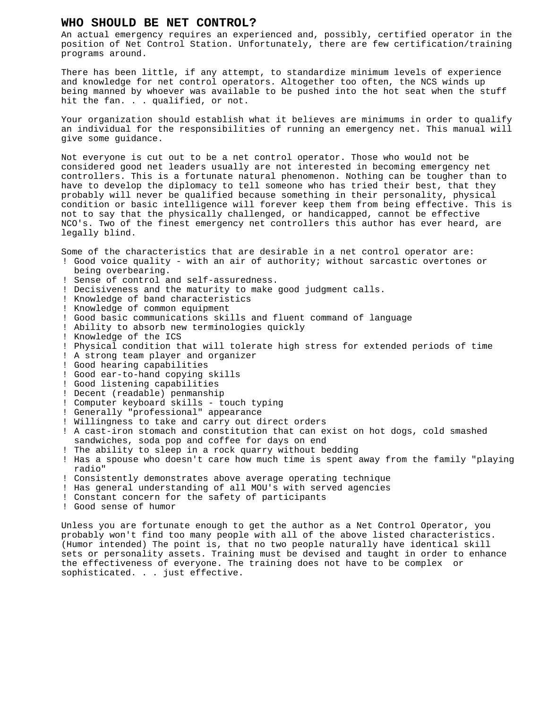#### **WHO SHOULD BE NET CONTROL?**

An actual emergency requires an experienced and, possibly, certified operator in the position of Net Control Station. Unfortunately, there are few certification/training programs around.

There has been little, if any attempt, to standardize minimum levels of experience and knowledge for net control operators. Altogether too often, the NCS winds up being manned by whoever was available to be pushed into the hot seat when the stuff hit the fan. . . qualified, or not.

Your organization should establish what it believes are minimums in order to qualify an individual for the responsibilities of running an emergency net. This manual will give some guidance.

Not everyone is cut out to be a net control operator. Those who would not be considered good net leaders usually are not interested in becoming emergency net controllers. This is a fortunate natural phenomenon. Nothing can be tougher than to have to develop the diplomacy to tell someone who has tried their best, that they probably will never be qualified because something in their personality, physical condition or basic intelligence will forever keep them from being effective. This is not to say that the physically challenged, or handicapped, cannot be effective NCO's. Two of the finest emergency net controllers this author has ever heard, are legally blind.

Some of the characteristics that are desirable in a net control operator are: ! Good voice quality - with an air of authority; without sarcastic overtones or being overbearing. ! Sense of control and self-assuredness.

- ! Decisiveness and the maturity to make good judgment calls.
- ! Knowledge of band characteristics
- ! Knowledge of common equipment
- ! Good basic communications skills and fluent command of language
- ! Ability to absorb new terminologies quickly
- ! Knowledge of the ICS
- ! Physical condition that will tolerate high stress for extended periods of time
- ! A strong team player and organizer
- ! Good hearing capabilities
- ! Good ear-to-hand copying skills
- ! Good listening capabilities
- ! Decent (readable) penmanship
- ! Computer keyboard skills touch typing
- ! Generally "professional" appearance
- ! Willingness to take and carry out direct orders

! A cast-iron stomach and constitution that can exist on hot dogs, cold smashed sandwiches, soda pop and coffee for days on end

- ! The ability to sleep in a rock quarry without bedding
- ! Has a spouse who doesn't care how much time is spent away from the family "playing radio"
- ! Consistently demonstrates above average operating technique
- ! Has general understanding of all MOU's with served agencies
- ! Constant concern for the safety of participants
- ! Good sense of humor

Unless you are fortunate enough to get the author as a Net Control Operator, you probably won't find too many people with all of the above listed characteristics. (Humor intended) The point is, that no two people naturally have identical skill sets or personality assets. Training must be devised and taught in order to enhance the effectiveness of everyone. The training does not have to be complex or sophisticated. . . just effective.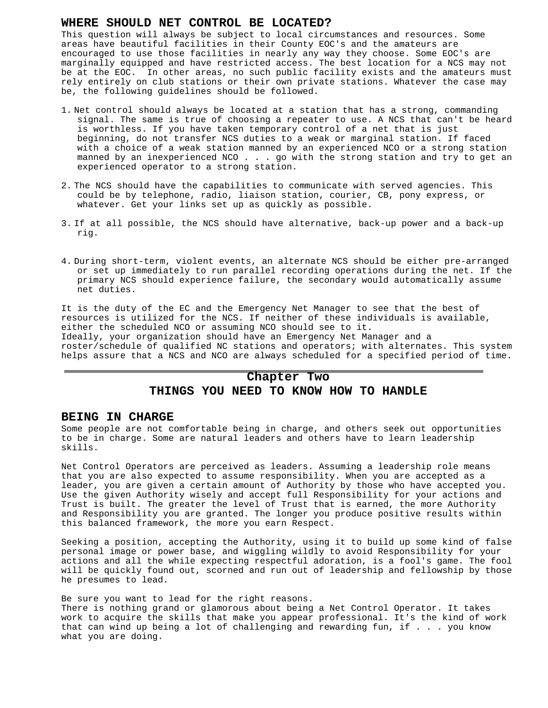#### **WHERE SHOULD NET CONTROL BE LOCATED?**

This question will always be subject to local circumstances and resources. Some areas have beautiful facilities in their County EOC's and the amateurs are encouraged to use those facilities in nearly any way they choose. Some EOC's are marginally equipped and have restricted access. The best location for a NCS may not be at the EOC. In other areas, no such public facility exists and the amateurs must rely entirely on club stations or their own private stations. Whatever the case may be, the following guidelines should be followed.

- 1. Net control should always be located at a station that has a strong, commanding signal. The same is true of choosing a repeater to use. A NCS that can't be heard is worthless. If you have taken temporary control of a net that is just beginning, do not transfer NCS duties to a weak or marginal station. If faced with a choice of a weak station manned by an experienced NCO or a strong station manned by an inexperienced NCO . . . go with the strong station and try to get an experienced operator to a strong station.
- 2. The NCS should have the capabilities to communicate with served agencies. This could be by telephone, radio, liaison station, courier, CB, pony express, or whatever. Get your links set up as quickly as possible.
- 3. If at all possible, the NCS should have alternative, back-up power and a back-up rig.
- 4. During short-term, violent events, an alternate NCS should be either pre-arranged or set up immediately to run parallel recording operations during the net. If the primary NCS should experience failure, the secondary would automatically assume net duties.

It is the duty of the EC and the Emergency Net Manager to see that the best of resources is utilized for the NCS. If neither of these individuals is available, either the scheduled NCO or assuming NCO should see to it. Ideally, your organization should have an Emergency Net Manager and a roster/schedule of qualified NC stations and operators; with alternates. This system helps assure that a NCS and NCO are always scheduled for a specified period of time.

## **Chapter Two**

## **THINGS YOU NEED TO KNOW HOW TO HANDLE**

#### **BEING IN CHARGE**

Some people are not comfortable being in charge, and others seek out opportunities to be in charge. Some are natural leaders and others have to learn leadership skills.

Net Control Operators are perceived as leaders. Assuming a leadership role means that you are also expected to assume responsibility. When you are accepted as a leader, you are given a certain amount of Authority by those who have accepted you. Use the given Authority wisely and accept full Responsibility for your actions and Trust is built. The greater the level of Trust that is earned, the more Authority and Responsibility you are granted. The longer you produce positive results within this balanced framework, the more you earn Respect.

Seeking a position, accepting the Authority, using it to build up some kind of false personal image or power base, and wiggling wildly to avoid Responsibility for your actions and all the while expecting respectful adoration, is a fool's game. The fool will be quickly found out, scorned and run out of leadership and fellowship by those he presumes to lead.

Be sure you want to lead for the right reasons. There is nothing grand or glamorous about being a Net Control Operator. It takes work to acquire the skills that make you appear professional. It's the kind of work that can wind up being a lot of challenging and rewarding fun, if . . . you know what you are doing.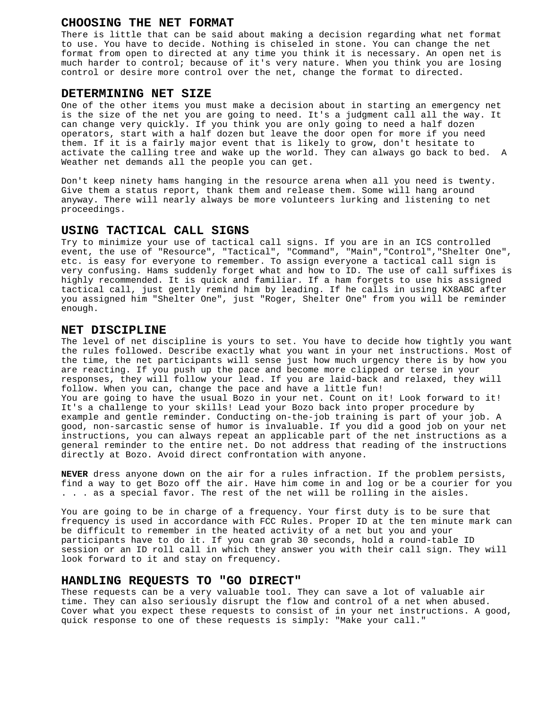#### **CHOOSING THE NET FORMAT**

There is little that can be said about making a decision regarding what net format to use. You have to decide. Nothing is chiseled in stone. You can change the net format from open to directed at any time you think it is necessary. An open net is much harder to control; because of it's very nature. When you think you are losing control or desire more control over the net, change the format to directed.

## **DETERMINING NET SIZE**

One of the other items you must make a decision about in starting an emergency net is the size of the net you are going to need. It's a judgment call all the way. It can change very quickly. If you think you are only going to need a half dozen operators, start with a half dozen but leave the door open for more if you need them. If it is a fairly major event that is likely to grow, don't hesitate to activate the calling tree and wake up the world. They can always go back to bed. A Weather net demands all the people you can get.

Don't keep ninety hams hanging in the resource arena when all you need is twenty. Give them a status report, thank them and release them. Some will hang around anyway. There will nearly always be more volunteers lurking and listening to net proceedings.

## **USING TACTICAL CALL SIGNS**

Try to minimize your use of tactical call signs. If you are in an ICS controlled event, the use of "Resource", "Tactical", "Command", "Main","Control","Shelter One", etc. is easy for everyone to remember. To assign everyone a tactical call sign is very confusing. Hams suddenly forget what and how to ID. The use of call suffixes is highly recommended. It is quick and familiar. If a ham forgets to use his assigned tactical call, just gently remind him by leading. If he calls in using KX8ABC after you assigned him "Shelter One", just "Roger, Shelter One" from you will be reminder enough.

### **NET DISCIPLINE**

The level of net discipline is yours to set. You have to decide how tightly you want the rules followed. Describe exactly what you want in your net instructions. Most of the time, the net participants will sense just how much urgency there is by how you are reacting. If you push up the pace and become more clipped or terse in your responses, they will follow your lead. If you are laid-back and relaxed, they will follow. When you can, change the pace and have a little fun! You are going to have the usual Bozo in your net. Count on it! Look forward to it! It's a challenge to your skills! Lead your Bozo back into proper procedure by example and gentle reminder. Conducting on-the-job training is part of your job. A good, non-sarcastic sense of humor is invaluable. If you did a good job on your net instructions, you can always repeat an applicable part of the net instructions as a general reminder to the entire net. Do not address that reading of the instructions directly at Bozo. Avoid direct confrontation with anyone.

**NEVER** dress anyone down on the air for a rules infraction. If the problem persists, find a way to get Bozo off the air. Have him come in and log or be a courier for you . . . as a special favor. The rest of the net will be rolling in the aisles.

You are going to be in charge of a frequency. Your first duty is to be sure that frequency is used in accordance with FCC Rules. Proper ID at the ten minute mark can be difficult to remember in the heated activity of a net but you and your participants have to do it. If you can grab 30 seconds, hold a round-table ID session or an ID roll call in which they answer you with their call sign. They will look forward to it and stay on frequency.

#### **HANDLING REQUESTS TO "GO DIRECT"**

These requests can be a very valuable tool. They can save a lot of valuable air time. They can also seriously disrupt the flow and control of a net when abused. Cover what you expect these requests to consist of in your net instructions. A good, quick response to one of these requests is simply: "Make your call."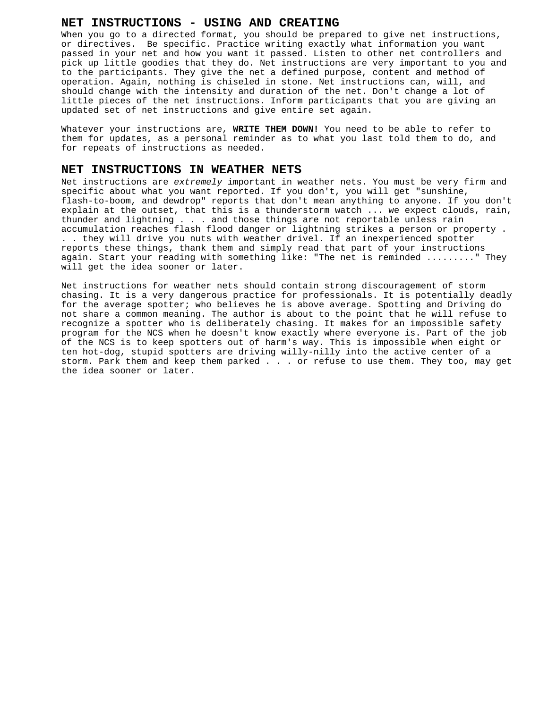## **NET INSTRUCTIONS - USING AND CREATING**

When you go to a directed format, you should be prepared to give net instructions, or directives. Be specific. Practice writing exactly what information you want passed in your net and how you want it passed. Listen to other net controllers and pick up little goodies that they do. Net instructions are very important to you and to the participants. They give the net a defined purpose, content and method of operation. Again, nothing is chiseled in stone. Net instructions can, will, and should change with the intensity and duration of the net. Don't change a lot of little pieces of the net instructions. Inform participants that you are giving an updated set of net instructions and give entire set again.

Whatever your instructions are, **WRITE THEM DOWN!** You need to be able to refer to them for updates, as a personal reminder as to what you last told them to do, and for repeats of instructions as needed.

#### **NET INSTRUCTIONS IN WEATHER NETS**

Net instructions are *extremely* important in weather nets. You must be very firm and specific about what you want reported. If you don't, you will get "sunshine, flash-to-boom, and dewdrop" reports that don't mean anything to anyone. If you don't explain at the outset, that this is a thunderstorm watch ... we expect clouds, rain, thunder and lightning . . . and those things are not reportable unless rain accumulation reaches flash flood danger or lightning strikes a person or property . . . they will drive you nuts with weather drivel. If an inexperienced spotter reports these things, thank them and simply read that part of your instructions again. Start your reading with something like: "The net is reminded ........." They will get the idea sooner or later.

Net instructions for weather nets should contain strong discouragement of storm chasing. It is a very dangerous practice for professionals. It is potentially deadly for the average spotter; who believes he is above average. Spotting and Driving do not share a common meaning. The author is about to the point that he will refuse to recognize a spotter who is deliberately chasing. It makes for an impossible safety program for the NCS when he doesn't know exactly where everyone is. Part of the job of the NCS is to keep spotters out of harm's way. This is impossible when eight or ten hot-dog, stupid spotters are driving willy-nilly into the active center of a storm. Park them and keep them parked . . . or refuse to use them. They too, may get the idea sooner or later.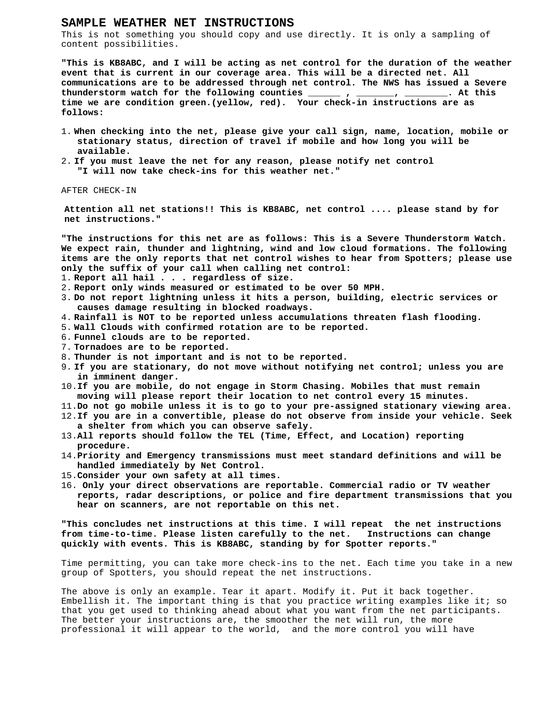#### **SAMPLE WEATHER NET INSTRUCTIONS**

This is not something you should copy and use directly. It is only a sampling of content possibilities.

**"This is KB8ABC, and I will be acting as net control for the duration of the weather event that is current in our coverage area. This will be a directed net. All communications are to be addressed through net control. The NWS has issued a Severe thunderstorm watch for the following counties \_\_\_\_\_\_ , \_\_\_\_\_\_\_, \_\_\_\_\_\_\_\_. At this time we are condition green.(yellow, red). Your check-in instructions are as follows:**

- 1. **When checking into the net, please give your call sign, name, location, mobile or stationary status, direction of travel if mobile and how long you will be available.**
- 2. **If you must leave the net for any reason, please notify net control "I will now take check-ins for this weather net."**

AFTER CHECK-IN

**Attention all net stations!! This is KB8ABC, net control .... please stand by for net instructions."**

**"The instructions for this net are as follows: This is a Severe Thunderstorm Watch. We expect rain, thunder and lightning, wind and low cloud formations. The following items are the only reports that net control wishes to hear from Spotters; please use only the suffix of your call when calling net control:**

- 1. **Report all hail . . . regardless of size.**
- 2. **Report only winds measured or estimated to be over 50 MPH.**
- 3. **Do not report lightning unless it hits a person, building, electric services or causes damage resulting in blocked roadways.**
- 4. **Rainfall is NOT to be reported unless accumulations threaten flash flooding.**
- 5. **Wall Clouds with confirmed rotation are to be reported.**
- 6. **Funnel clouds are to be reported.**
- 7. **Tornadoes are to be reported.**
- 8. **Thunder is not important and is not to be reported.**
- 9. **If you are stationary, do not move without notifying net control; unless you are in imminent danger.**
- 10.**If you are mobile, do not engage in Storm Chasing. Mobiles that must remain moving will please report their location to net control every 15 minutes.**
- 11.**Do not go mobile unless it is to go to your pre-assigned stationary viewing area.**
- 12.**If you are in a convertible, please do not observe from inside your vehicle. Seek a shelter from which you can observe safely.**
- 13.**All reports should follow the TEL (Time, Effect, and Location) reporting procedure.**
- 14.**Priority and Emergency transmissions must meet standard definitions and will be handled immediately by Net Control.**
- 15.**Consider your own safety at all times.**
- 16. **Only your direct observations are reportable. Commercial radio or TV weather reports, radar descriptions, or police and fire department transmissions that you hear on scanners, are not reportable on this net.**

**"This concludes net instructions at this time. I will repeat the net instructions from time-to-time. Please listen carefully to the net. Instructions can change quickly with events. This is KB8ABC, standing by for Spotter reports."**

Time permitting, you can take more check-ins to the net. Each time you take in a new group of Spotters, you should repeat the net instructions.

The above is only an example. Tear it apart. Modify it. Put it back together. Embellish it. The important thing is that you practice writing examples like it; so that you get used to thinking ahead about what you want from the net participants. The better your instructions are, the smoother the net will run, the more professional it will appear to the world, and the more control you will have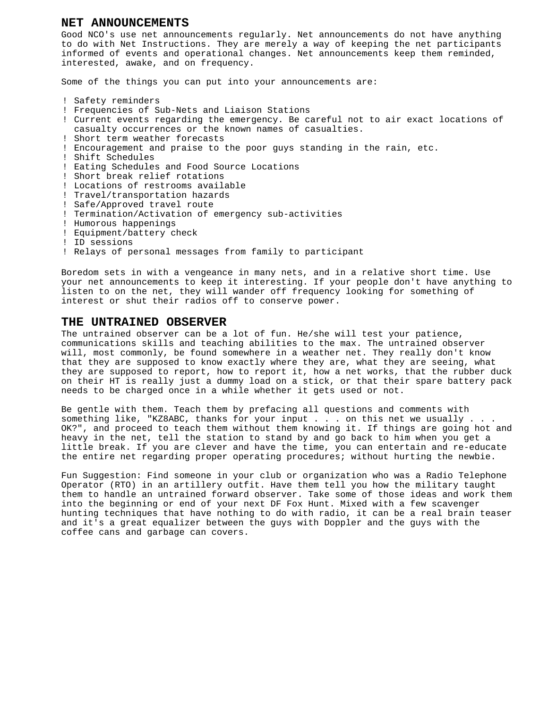#### **NET ANNOUNCEMENTS**

Good NCO's use net announcements regularly. Net announcements do not have anything to do with Net Instructions. They are merely a way of keeping the net participants informed of events and operational changes. Net announcements keep them reminded, interested, awake, and on frequency.

Some of the things you can put into your announcements are:

- ! Safety reminders
- ! Frequencies of Sub-Nets and Liaison Stations
- ! Current events regarding the emergency. Be careful not to air exact locations of casualty occurrences or the known names of casualties.
- ! Short term weather forecasts
- ! Encouragement and praise to the poor guys standing in the rain, etc.
- ! Shift Schedules
- ! Eating Schedules and Food Source Locations
- ! Short break relief rotations
- ! Locations of restrooms available
- ! Travel/transportation hazards
- ! Safe/Approved travel route
- ! Termination/Activation of emergency sub-activities
- ! Humorous happenings
- ! Equipment/battery check
- ! ID sessions
- ! Relays of personal messages from family to participant

Boredom sets in with a vengeance in many nets, and in a relative short time. Use your net announcements to keep it interesting. If your people don't have anything to listen to on the net, they will wander off frequency looking for something of interest or shut their radios off to conserve power.

## **THE UNTRAINED OBSERVER**

The untrained observer can be a lot of fun. He/she will test your patience, communications skills and teaching abilities to the max. The untrained observer will, most commonly, be found somewhere in a weather net. They really don't know that they are supposed to know exactly where they are, what they are seeing, what they are supposed to report, how to report it, how a net works, that the rubber duck on their HT is really just a dummy load on a stick, or that their spare battery pack needs to be charged once in a while whether it gets used or not.

Be gentle with them. Teach them by prefacing all questions and comments with something like, "KZ8ABC, thanks for your input . . . on this net we usually . . . OK?", and proceed to teach them without them knowing it. If things are going hot and heavy in the net, tell the station to stand by and go back to him when you get a little break. If you are clever and have the time, you can entertain and re-educate the entire net regarding proper operating procedures; without hurting the newbie.

Fun Suggestion: Find someone in your club or organization who was a Radio Telephone Operator (RTO) in an artillery outfit. Have them tell you how the military taught them to handle an untrained forward observer. Take some of those ideas and work them into the beginning or end of your next DF Fox Hunt. Mixed with a few scavenger hunting techniques that have nothing to do with radio, it can be a real brain teaser and it's a great equalizer between the guys with Doppler and the guys with the coffee cans and garbage can covers.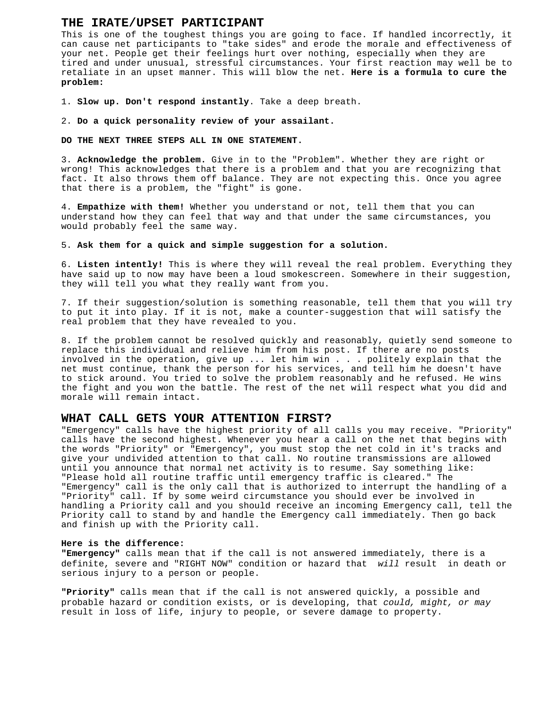#### **THE IRATE/UPSET PARTICIPANT**

This is one of the toughest things you are going to face. If handled incorrectly, it can cause net participants to "take sides" and erode the morale and effectiveness of your net. People get their feelings hurt over nothing, especially when they are tired and under unusual, stressful circumstances. Your first reaction may well be to retaliate in an upset manner. This will blow the net. **Here is a formula to cure the problem:**

1. **Slow up. Don't respond instantly**. Take a deep breath.

2. **Do a quick personality review of your assailant.**

**DO THE NEXT THREE STEPS ALL IN ONE STATEMENT.**

3. **Acknowledge the problem.** Give in to the "Problem". Whether they are right or wrong! This acknowledges that there is a problem and that you are recognizing that fact. It also throws them off balance. They are not expecting this. Once you agree that there is a problem, the "fight" is gone.

4. **Empathize with them!** Whether you understand or not, tell them that you can understand how they can feel that way and that under the same circumstances, you would probably feel the same way.

5. **Ask them for a quick and simple suggestion for a solution.**

6. **Listen intently!** This is where they will reveal the real problem. Everything they have said up to now may have been a loud smokescreen. Somewhere in their suggestion, they will tell you what they really want from you.

7. If their suggestion/solution is something reasonable, tell them that you will try to put it into play. If it is not, make a counter-suggestion that will satisfy the real problem that they have revealed to you.

8. If the problem cannot be resolved quickly and reasonably, quietly send someone to replace this individual and relieve him from his post. If there are no posts involved in the operation, give up ... let him win . . . politely explain that the net must continue, thank the person for his services, and tell him he doesn't have to stick around. You tried to solve the problem reasonably and he refused. He wins the fight and you won the battle. The rest of the net will respect what you did and morale will remain intact.

### **WHAT CALL GETS YOUR ATTENTION FIRST?**

"Emergency" calls have the highest priority of all calls you may receive. "Priority" calls have the second highest. Whenever you hear a call on the net that begins with the words "Priority" or "Emergency", you must stop the net cold in it's tracks and give your undivided attention to that call. No routine transmissions are allowed until you announce that normal net activity is to resume. Say something like: "Please hold all routine traffic until emergency traffic is cleared." The "Emergency" call is the only call that is authorized to interrupt the handling of a "Priority" call. If by some weird circumstance you should ever be involved in handling a Priority call and you should receive an incoming Emergency call, tell the Priority call to stand by and handle the Emergency call immediately. Then go back and finish up with the Priority call.

#### **Here is the difference:**

**"Emergency"** calls mean that if the call is not answered immediately, there is a definite, severe and "RIGHT NOW" condition or hazard that *will* result in death or serious injury to a person or people.

**"Priority"** calls mean that if the call is not answered quickly, a possible and probable hazard or condition exists, or is developing, that *could, might, or may* result in loss of life, injury to people, or severe damage to property.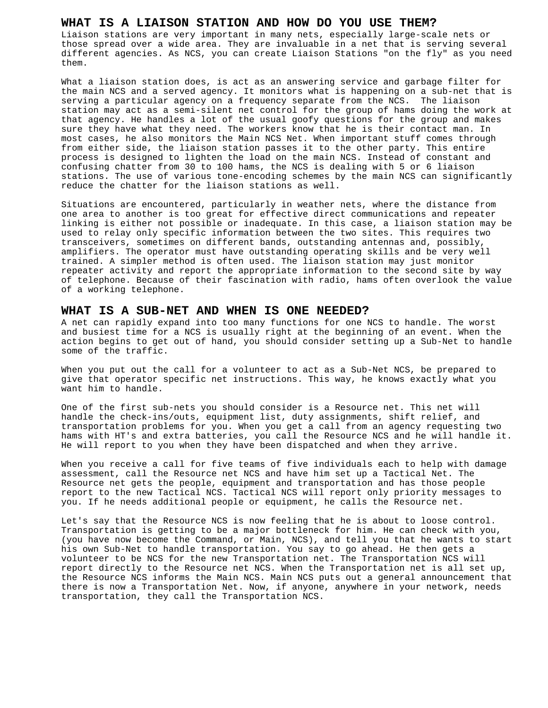#### **WHAT IS A LIAISON STATION AND HOW DO YOU USE THEM?**

Liaison stations are very important in many nets, especially large-scale nets or those spread over a wide area. They are invaluable in a net that is serving several different agencies. As NCS, you can create Liaison Stations "on the fly" as you need them.

What a liaison station does, is act as an answering service and garbage filter for the main NCS and a served agency. It monitors what is happening on a sub-net that is serving a particular agency on a frequency separate from the NCS. The liaison station may act as a semi-silent net control for the group of hams doing the work at that agency. He handles a lot of the usual goofy questions for the group and makes sure they have what they need. The workers know that he is their contact man. In most cases, he also monitors the Main NCS Net. When important stuff comes through from either side, the liaison station passes it to the other party. This entire process is designed to lighten the load on the main NCS. Instead of constant and confusing chatter from 30 to 100 hams, the NCS is dealing with 5 or 6 liaison stations. The use of various tone-encoding schemes by the main NCS can significantly reduce the chatter for the liaison stations as well.

Situations are encountered, particularly in weather nets, where the distance from one area to another is too great for effective direct communications and repeater linking is either not possible or inadequate. In this case, a liaison station may be used to relay only specific information between the two sites. This requires two transceivers, sometimes on different bands, outstanding antennas and, possibly, amplifiers. The operator must have outstanding operating skills and be very well trained. A simpler method is often used. The liaison station may just monitor repeater activity and report the appropriate information to the second site by way of telephone. Because of their fascination with radio, hams often overlook the value of a working telephone.

## **WHAT IS A SUB-NET AND WHEN IS ONE NEEDED?**

A net can rapidly expand into too many functions for one NCS to handle. The worst and busiest time for a NCS is usually right at the beginning of an event. When the action begins to get out of hand, you should consider setting up a Sub-Net to handle some of the traffic.

When you put out the call for a volunteer to act as a Sub-Net NCS, be prepared to give that operator specific net instructions. This way, he knows exactly what you want him to handle.

One of the first sub-nets you should consider is a Resource net. This net will handle the check-ins/outs, equipment list, duty assignments, shift relief, and transportation problems for you. When you get a call from an agency requesting two hams with HT's and extra batteries, you call the Resource NCS and he will handle it. He will report to you when they have been dispatched and when they arrive.

When you receive a call for five teams of five individuals each to help with damage assessment, call the Resource net NCS and have him set up a Tactical Net. The Resource net gets the people, equipment and transportation and has those people report to the new Tactical NCS. Tactical NCS will report only priority messages to you. If he needs additional people or equipment, he calls the Resource net.

Let's say that the Resource NCS is now feeling that he is about to loose control. Transportation is getting to be a major bottleneck for him. He can check with you, (you have now become the Command, or Main, NCS), and tell you that he wants to start his own Sub-Net to handle transportation. You say to go ahead. He then gets a volunteer to be NCS for the new Transportation net. The Transportation NCS will report directly to the Resource net NCS. When the Transportation net is all set up, the Resource NCS informs the Main NCS. Main NCS puts out a general announcement that there is now a Transportation Net. Now, if anyone, anywhere in your network, needs transportation, they call the Transportation NCS.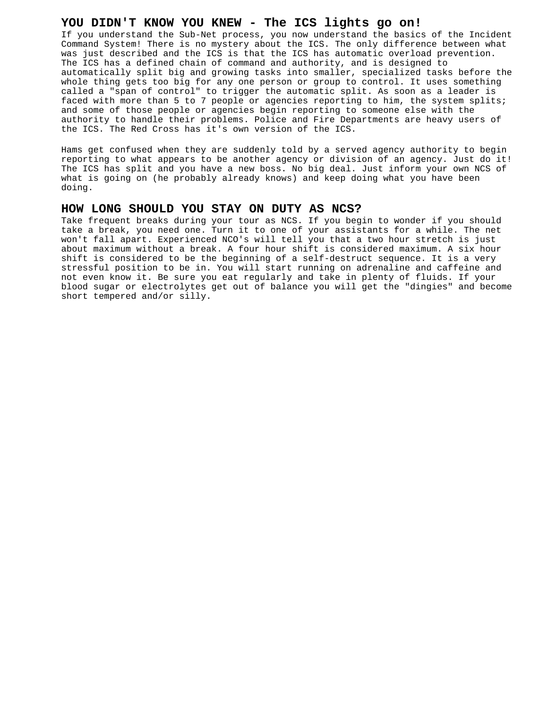#### **YOU DIDN'T KNOW YOU KNEW - The ICS lights go on!**

If you understand the Sub-Net process, you now understand the basics of the Incident Command System! There is no mystery about the ICS. The only difference between what was just described and the ICS is that the ICS has automatic overload prevention. The ICS has a defined chain of command and authority, and is designed to automatically split big and growing tasks into smaller, specialized tasks before the whole thing gets too big for any one person or group to control. It uses something called a "span of control" to trigger the automatic split. As soon as a leader is faced with more than 5 to 7 people or agencies reporting to him, the system splits; and some of those people or agencies begin reporting to someone else with the authority to handle their problems. Police and Fire Departments are heavy users of the ICS. The Red Cross has it's own version of the ICS.

Hams get confused when they are suddenly told by a served agency authority to begin reporting to what appears to be another agency or division of an agency. Just do it! The ICS has split and you have a new boss. No big deal. Just inform your own NCS of what is going on (he probably already knows) and keep doing what you have been doing.

#### **HOW LONG SHOULD YOU STAY ON DUTY AS NCS?**

Take frequent breaks during your tour as NCS. If you begin to wonder if you should take a break, you need one. Turn it to one of your assistants for a while. The net won't fall apart. Experienced NCO's will tell you that a two hour stretch is just about maximum without a break. A four hour shift is considered maximum. A six hour shift is considered to be the beginning of a self-destruct sequence. It is a very stressful position to be in. You will start running on adrenaline and caffeine and not even know it. Be sure you eat regularly and take in plenty of fluids. If your blood sugar or electrolytes get out of balance you will get the "dingies" and become short tempered and/or silly.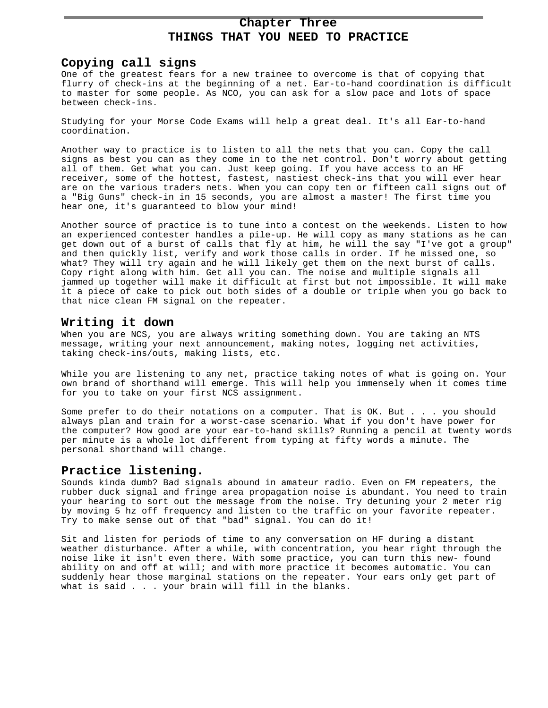## **Chapter Three THINGS THAT YOU NEED TO PRACTICE**

### **Copying call signs**

One of the greatest fears for a new trainee to overcome is that of copying that flurry of check-ins at the beginning of a net. Ear-to-hand coordination is difficult to master for some people. As NCO, you can ask for a slow pace and lots of space between check-ins.

Studying for your Morse Code Exams will help a great deal. It's all Ear-to-hand coordination.

Another way to practice is to listen to all the nets that you can. Copy the call signs as best you can as they come in to the net control. Don't worry about getting all of them. Get what you can. Just keep going. If you have access to an HF receiver, some of the hottest, fastest, nastiest check-ins that you will ever hear are on the various traders nets. When you can copy ten or fifteen call signs out of a "Big Guns" check-in in 15 seconds, you are almost a master! The first time you hear one, it's guaranteed to blow your mind!

Another source of practice is to tune into a contest on the weekends. Listen to how an experienced contester handles a pile-up. He will copy as many stations as he can get down out of a burst of calls that fly at him, he will the say "I've got a group" and then quickly list, verify and work those calls in order. If he missed one, so what? They will try again and he will likely get them on the next burst of calls. Copy right along with him. Get all you can. The noise and multiple signals all jammed up together will make it difficult at first but not impossible. It will make it a piece of cake to pick out both sides of a double or triple when you go back to that nice clean FM signal on the repeater.

## **Writing it down**

When you are NCS, you are always writing something down. You are taking an NTS message, writing your next announcement, making notes, logging net activities, taking check-ins/outs, making lists, etc.

While you are listening to any net, practice taking notes of what is going on. Your own brand of shorthand will emerge. This will help you immensely when it comes time for you to take on your first NCS assignment.

Some prefer to do their notations on a computer. That is OK. But . . . you should always plan and train for a worst-case scenario. What if you don't have power for the computer? How good are your ear-to-hand skills? Running a pencil at twenty words per minute is a whole lot different from typing at fifty words a minute. The personal shorthand will change.

## **Practice listening.**

Sounds kinda dumb? Bad signals abound in amateur radio. Even on FM repeaters, the rubber duck signal and fringe area propagation noise is abundant. You need to train your hearing to sort out the message from the noise. Try detuning your 2 meter rig by moving 5 hz off frequency and listen to the traffic on your favorite repeater. Try to make sense out of that "bad" signal. You can do it!

Sit and listen for periods of time to any conversation on HF during a distant weather disturbance. After a while, with concentration, you hear right through the noise like it isn't even there. With some practice, you can turn this new- found ability on and off at will; and with more practice it becomes automatic. You can suddenly hear those marginal stations on the repeater. Your ears only get part of what is said . . . your brain will fill in the blanks.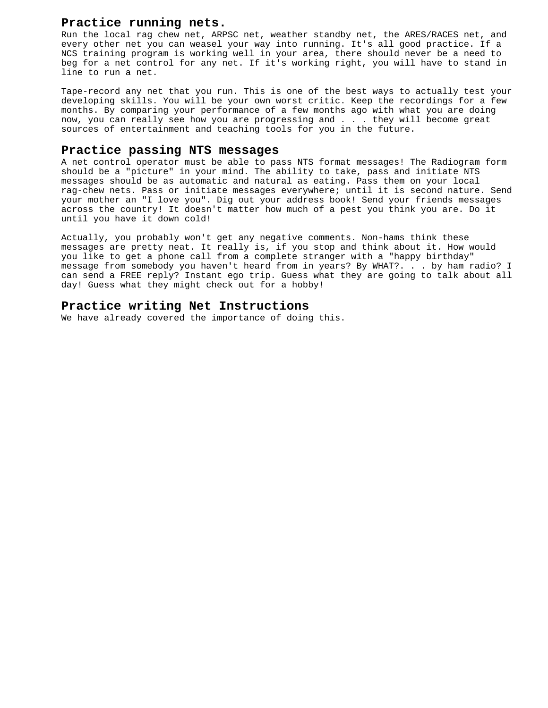## **Practice running nets.**

Run the local rag chew net, ARPSC net, weather standby net, the ARES/RACES net, and every other net you can weasel your way into running. It's all good practice. If a NCS training program is working well in your area, there should never be a need to beg for a net control for any net. If it's working right, you will have to stand in line to run a net.

Tape-record any net that you run. This is one of the best ways to actually test your developing skills. You will be your own worst critic. Keep the recordings for a few months. By comparing your performance of a few months ago with what you are doing now, you can really see how you are progressing and . . . they will become great sources of entertainment and teaching tools for you in the future.

#### **Practice passing NTS messages**

A net control operator must be able to pass NTS format messages! The Radiogram form should be a "picture" in your mind. The ability to take, pass and initiate NTS messages should be as automatic and natural as eating. Pass them on your local rag-chew nets. Pass or initiate messages everywhere; until it is second nature. Send your mother an "I love you". Dig out your address book! Send your friends messages across the country! It doesn't matter how much of a pest you think you are. Do it until you have it down cold!

Actually, you probably won't get any negative comments. Non-hams think these messages are pretty neat. It really is, if you stop and think about it. How would you like to get a phone call from a complete stranger with a "happy birthday" message from somebody you haven't heard from in years? By WHAT?. . . by ham radio? I can send a FREE reply? Instant ego trip. Guess what they are going to talk about all day! Guess what they might check out for a hobby!

## **Practice writing Net Instructions**

We have already covered the importance of doing this.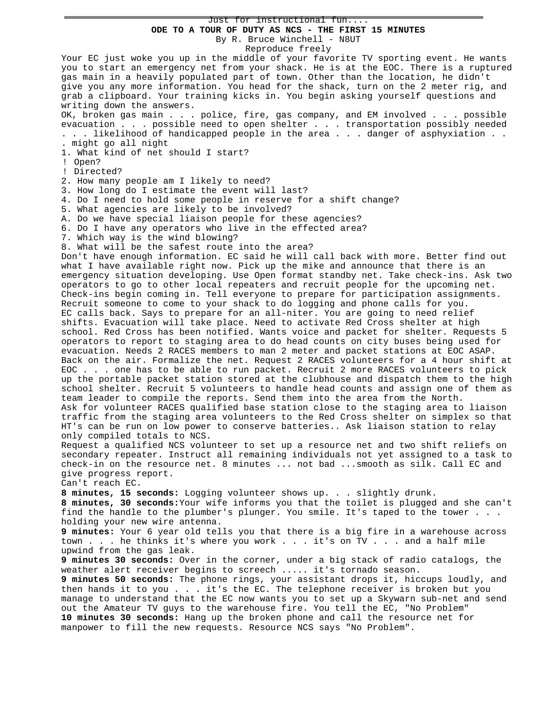Just for instructional fun.... **ODE TO A TOUR OF DUTY AS NCS - THE FIRST 15 MINUTES** By R. Bruce Winchell - N8UT

Reproduce freely

Your EC just woke you up in the middle of your favorite TV sporting event. He wants you to start an emergency net from your shack. He is at the EOC. There is a ruptured gas main in a heavily populated part of town. Other than the location, he didn't give you any more information. You head for the shack, turn on the 2 meter rig, and grab a clipboard. Your training kicks in. You begin asking yourself questions and writing down the answers. OK, broken gas main . . . police, fire, gas company, and EM involved . . . possible evacuation . . . possible need to open shelter . . . transportation possibly needed . . . likelihood of handicapped people in the area . . . danger of asphyxiation . . . might go all night 1. What kind of net should I start? ! Open? ! Directed? 2. How many people am I likely to need? 3. How long do I estimate the event will last? 4. Do I need to hold some people in reserve for a shift change? 5. What agencies are likely to be involved? A. Do we have special liaison people for these agencies? 6. Do I have any operators who live in the effected area? 7. Which way is the wind blowing? 8. What will be the safest route into the area? Don't have enough information. EC said he will call back with more. Better find out what I have available right now. Pick up the mike and announce that there is an emergency situation developing. Use Open format standby net. Take check-ins. Ask two operators to go to other local repeaters and recruit people for the upcoming net. Check-ins begin coming in. Tell everyone to prepare for participation assignments. Recruit someone to come to your shack to do logging and phone calls for you. EC calls back. Says to prepare for an all-niter. You are going to need relief shifts. Evacuation will take place. Need to activate Red Cross shelter at high school. Red Cross has been notified. Wants voice and packet for shelter. Requests 5 operators to report to staging area to do head counts on city buses being used for evacuation. Needs 2 RACES members to man 2 meter and packet stations at EOC ASAP. Back on the air. Formalize the net. Request 2 RACES volunteers for a 4 hour shift at EOC . . . one has to be able to run packet. Recruit 2 more RACES volunteers to pick up the portable packet station stored at the clubhouse and dispatch them to the high school shelter. Recruit 5 volunteers to handle head counts and assign one of them as team leader to compile the reports. Send them into the area from the North. Ask for volunteer RACES qualified base station close to the staging area to liaison traffic from the staging area volunteers to the Red Cross shelter on simplex so that HT's can be run on low power to conserve batteries.. Ask liaison station to relay only compiled totals to NCS. Request a qualified NCS volunteer to set up a resource net and two shift reliefs on secondary repeater. Instruct all remaining individuals not yet assigned to a task to check-in on the resource net. 8 minutes ... not bad ...smooth as silk. Call EC and give progress report. Can't reach EC. **8 minutes, 15 seconds:** Logging volunteer shows up. . . slightly drunk. **8 minutes, 30 seconds:**Your wife informs you that the toilet is plugged and she can't find the handle to the plumber's plunger. You smile. It's taped to the tower . . . holding your new wire antenna. **9 minutes:** Your 6 year old tells you that there is a big fire in a warehouse across town . . . he thinks it's where you work . . . it's on TV . . . and a half mile upwind from the gas leak. **9 minutes 30 seconds:** Over in the corner, under a big stack of radio catalogs, the weather alert receiver begins to screech ..... it's tornado season. **9 minutes 50 seconds:** The phone rings, your assistant drops it, hiccups loudly, and then hands it to you . . . it's the EC. The telephone receiver is broken but you manage to understand that the EC now wants you to set up a Skywarn sub-net and send out the Amateur TV guys to the warehouse fire. You tell the EC, "No Problem" **10 minutes 30 seconds:** Hang up the broken phone and call the resource net for manpower to fill the new requests. Resource NCS says "No Problem".